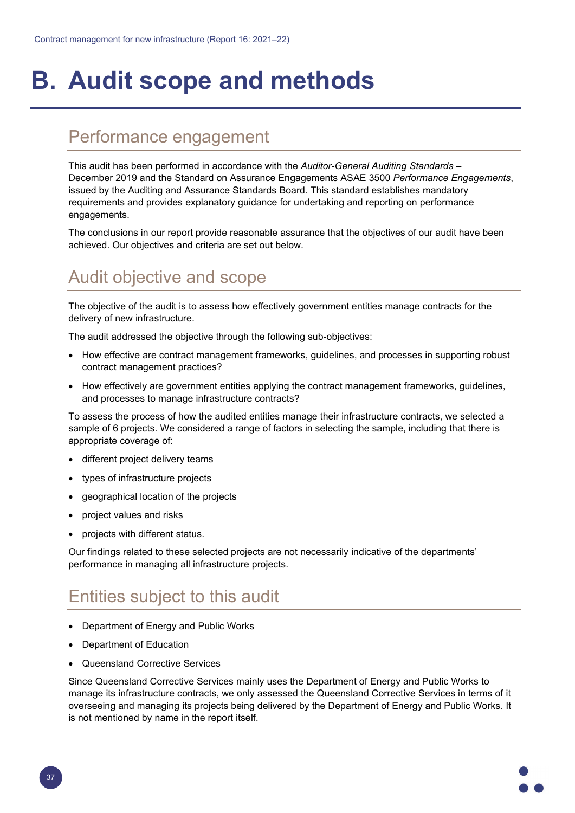# **B. Audit scope and methods**

#### Performance engagement

This audit has been performed in accordance with the *Auditor-General Auditing Standards* – December 2019 and the Standard on Assurance Engagements ASAE 3500 *Performance Engagements*, issued by the Auditing and Assurance Standards Board. This standard establishes mandatory requirements and provides explanatory guidance for undertaking and reporting on performance engagements.

The conclusions in our report provide reasonable assurance that the objectives of our audit have been achieved. Our objectives and criteria are set out below.

## Audit objective and scope

The objective of the audit is to assess how effectively government entities manage contracts for the delivery of new infrastructure.

The audit addressed the objective through the following sub-objectives:

- How effective are contract management frameworks, guidelines, and processes in supporting robust contract management practices?
- How effectively are government entities applying the contract management frameworks, guidelines, and processes to manage infrastructure contracts?

To assess the process of how the audited entities manage their infrastructure contracts, we selected a sample of 6 projects. We considered a range of factors in selecting the sample, including that there is appropriate coverage of:

- different project delivery teams
- types of infrastructure projects
- geographical location of the projects
- project values and risks
- projects with different status.

Our findings related to these selected projects are not necessarily indicative of the departments' performance in managing all infrastructure projects.

### Entities subject to this audit

- Department of Energy and Public Works
- Department of Education
- Queensland Corrective Services

Since Queensland Corrective Services mainly uses the Department of Energy and Public Works to manage its infrastructure contracts, we only assessed the Queensland Corrective Services in terms of it overseeing and managing its projects being delivered by the Department of Energy and Public Works. It is not mentioned by name in the report itself.